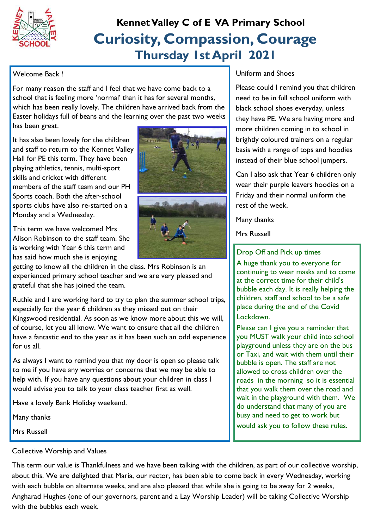

## **Curiosity, Compassion, Courage Thursday 1st April 2021 Kennet Valley C of E VA Primary School**

#### Welcome Back !

For many reason the staff and I feel that we have come back to a school that is feeling more 'normal' than it has for several months, which has been really lovely. The children have arrived back from the Easter holidays full of beans and the learning over the past two weeks has been great.

It has also been lovely for the children and staff to return to the Kennet Valley Hall for PE this term. They have been playing athletics, tennis, multi-sport skills and cricket with different members of the staff team and our PH Sports coach. Both the after-school sports clubs have also re-started on a Monday and a Wednesday.

This term we have welcomed Mrs Alison Robinson to the staff team. She is working with Year 6 this term and has said how much she is enjoying

getting to know all the children in the class. Mrs Robinson is an experienced primary school teacher and we are very pleased and grateful that she has joined the team.

Ruthie and I are working hard to try to plan the summer school trips, especially for the year 6 children as they missed out on their Kingswood residential. As soon as we know more about this we will, of course, let you all know. We want to ensure that all the children have a fantastic end to the year as it has been such an odd experience for us all.

As always I want to remind you that my door is open so please talk to me if you have any worries or concerns that we may be able to help with. If you have any questions about your children in class I would advise you to talk to your class teacher first as well.

Have a lovely Bank Holiday weekend.

Many thanks

Mrs Russell



#### Uniform and Shoes

Please could I remind you that children need to be in full school uniform with black school shoes everyday, unless they have PE. We are having more and more children coming in to school in brightly coloured trainers on a regular basis with a range of tops and hoodies instead of their blue school jumpers.

Can I also ask that Year 6 children only wear their purple leavers hoodies on a Friday and their normal uniform the rest of the week.

Many thanks

Mrs Russell

### Drop Off and Pick up times

A huge thank you to everyone for continuing to wear masks and to come at the correct time for their child's bubble each day. It is really helping the children, staff and school to be a safe place during the end of the Covid Lockdown.

Please can I give you a reminder that you MUST walk your child into school playground unless they are on the bus or Taxi, and wait with them until their bubble is open. The staff are not allowed to cross children over the roads in the morning so it is essential that you walk them over the road and wait in the playground with them. We do understand that many of you are busy and need to get to work but would ask you to follow these rules.

#### Collective Worship and Values

This term our value is Thankfulness and we have been talking with the children, as part of our collective worship, about this. We are delighted that Maria, our rector, has been able to come back in every Wednesday, working with each bubble on alternate weeks, and are also pleased that while she is going to be away for 2 weeks, Angharad Hughes (one of our governors, parent and a Lay Worship Leader) will be taking Collective Worship with the bubbles each week.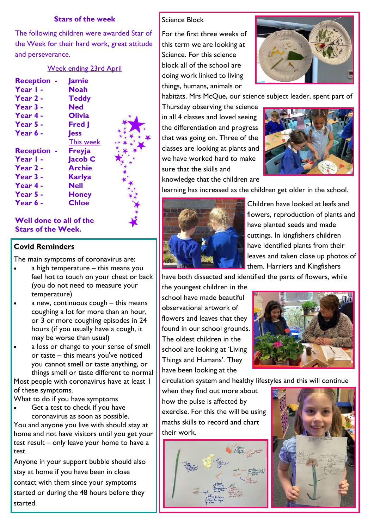#### **Stars of the week**

The following children were awarded Star of the Week for their hard work, great attitude and perseverance.

## Week ending 23rd April

|                    | <u>vveek enaing zsra .</u> |
|--------------------|----------------------------|
| <b>Reception -</b> | <b>Jamie</b>               |
| Year I -           | <b>Noah</b>                |
| Year 2 -           | <b>Teddy</b>               |
| Year 3 -           | Ned                        |
| Year 4 -           | <b>Olivia</b>              |
| Year 5 -           | <b>Fred</b> J              |
| Year 6 -           | <b>Jess</b>                |
|                    | This week                  |
| <b>Reception -</b> | <b>Freyja</b>              |
| Year I -           | Jacob C                    |
| Year 2 -           | <b>Archie</b>              |
| Year 3 -           | Karlya                     |
| Year 4 -           | Nell                       |
| Year 5 -           | Honey                      |
| Year 6 -           | Chloe                      |

#### **Well done to all of the Stars of the Week.**

#### **Covid Reminders**

The main symptoms of coronavirus are:

- a high temperature this means you feel hot to touch on your chest or back (you do not need to measure your temperature)
- a new, continuous cough this means coughing a lot for more than an hour, or 3 or more coughing episodes in 24 hours (if you usually have a cough, it may be worse than usual)
- a loss or change to your sense of smell or taste – this means you've noticed you cannot smell or taste anything, or things smell or taste different to normal

Most people with coronavirus have at least 1 of these symptoms.

What to do if you have symptoms

 Get a test to check if you have coronavirus as soon as possible.

You and anyone you live with should stay at home and not have visitors until you get your test result – only leave your home to have a test.

Anyone in your support bubble should also stay at home if you have been in close contact with them since your symptoms started or during the 48 hours before they started.

#### Science Block

For the first three weeks of this term we are looking at Science. For this science block all of the school are doing work linked to living things, humans, animals or



habitats. Mrs McQue, our science subject leader, spent part of

Thursday observing the science in all 4 classes and loved seeing the differentiation and progress that was going on. Three of the classes are looking at plants and we have worked hard to make sure that the skills and



learning has increased as the children get older in the school.



Children have looked at leafs and flowers, reproduction of plants and have planted seeds and made cuttings. In kingfishers children have identified plants from their leaves and taken close up photos of them. Harriers and Kingfishers

have both dissected and identified the parts of flowers, while

the youngest children in the school have made beautiful observational artwork of flowers and leaves that they found in our school grounds. The oldest children in the school are looking at 'Living Things and Humans'. They have been looking at the



circulation system and healthy lifestyles and this will continue

when they find out more about how the pulse is affected by exercise. For this the will be using maths skills to record and chart their work.



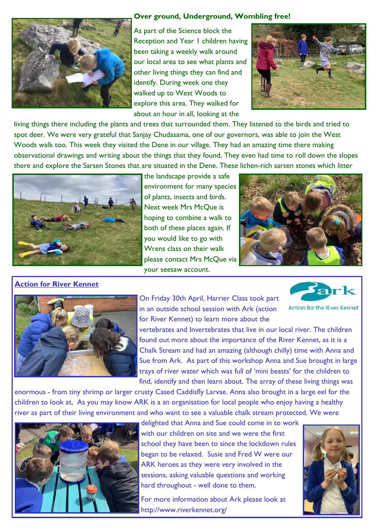

#### **Over ground, Underground, Wombling free!**

As part of the Science block the Reception and Year 1 children having been taking a weekly walk around our local area to see what plants and other living things they can find and identify. During week one they walked up to West Woods to explore this area. They walked for about an hour in all, looking at the



living things there including the plants and trees that surrounded them. They listened to the birds and tried to spot deer. We were very grateful that Sanjay Chudasama, one of our governors, was able to join the West Woods walk too. This week they visited the Dene in our village. They had an amazing time there making observational drawings and writing about the things that they found, They even had time to roll down the slopes there and explore the Sarsen Stones that are situated in the Dene. These lichen-rich sarsen stones which litter



the landscape provide a safe environment for many species of plants, insects and birds. Next week Mrs McQue is hoping to combine a walk to both of these places again. If you would like to go with Wrens class on their walk please contact Mrs McQue via your seesaw account.



#### **Action for River Kennet**



vertebrates and Invertebrates that live in our local river. The children found out more about the importance of the River Kennet, as it is a Chalk Stream and had an amazing (although chilly) time with Anna and Sue from Ark. As part of this workshop Anna and Sue brought in large trays of river water which was full of 'mini beasts' for the children to find, identify and then learn about. The array of these living things was

enormous - from tiny shrimp or larger crusty Cased Caddisfly Larvae. Anna also brought in a large eel for the children to look at, As you may know ARK is a an organisation for local people who enjoy having a healthy river as part of their living environment and who want to see a valuable chalk stream protected. We were



delighted that Anna and Sue could come in to work with our children on site and we were the first school they have been to since the lockdown rules began to be relaxed. Susie and Fred W were our ARK heroes as they were very involved in the sessions, asking valuable questions and working hard throughout - well done to them.

For more information about Ark please look at http://www.riverkennet.org/



Sark

**Action for the River Kennet**